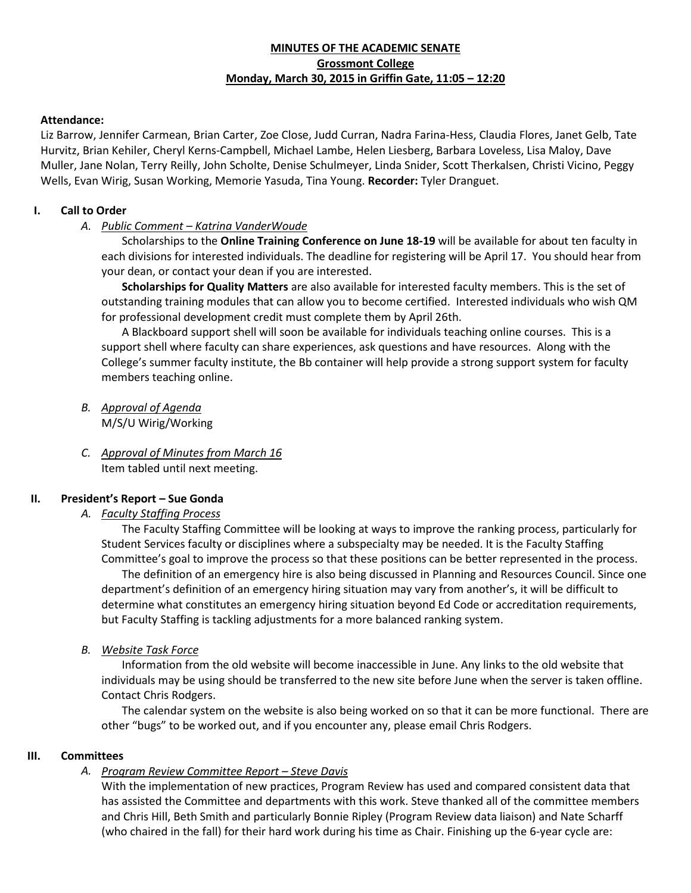# **MINUTES OF THE ACADEMIC SENATE Grossmont College Monday, March 30, 2015 in Griffin Gate, 11:05 – 12:20**

### **Attendance:**

Liz Barrow, Jennifer Carmean, Brian Carter, Zoe Close, Judd Curran, Nadra Farina-Hess, Claudia Flores, Janet Gelb, Tate Hurvitz, Brian Kehiler, Cheryl Kerns-Campbell, Michael Lambe, Helen Liesberg, Barbara Loveless, Lisa Maloy, Dave Muller, Jane Nolan, Terry Reilly, John Scholte, Denise Schulmeyer, Linda Snider, Scott Therkalsen, Christi Vicino, Peggy Wells, Evan Wirig, Susan Working, Memorie Yasuda, Tina Young. **Recorder:** Tyler Dranguet.

# **I. Call to Order**

#### *A. Public Comment – Katrina VanderWoude*

Scholarships to the **Online Training Conference on June 18-19** will be available for about ten faculty in each divisions for interested individuals. The deadline for registering will be April 17. You should hear from your dean, or contact your dean if you are interested.

**Scholarships for Quality Matters** are also available for interested faculty members. This is the set of outstanding training modules that can allow you to become certified. Interested individuals who wish QM for professional development credit must complete them by April 26th.

A Blackboard support shell will soon be available for individuals teaching online courses. This is a support shell where faculty can share experiences, ask questions and have resources. Along with the College's summer faculty institute, the Bb container will help provide a strong support system for faculty members teaching online.

- *B. Approval of Agenda* M/S/U Wirig/Working
- *C. Approval of Minutes from March 16* Item tabled until next meeting.

#### **II. President's Report – Sue Gonda**

*A. Faculty Staffing Process*

The Faculty Staffing Committee will be looking at ways to improve the ranking process, particularly for Student Services faculty or disciplines where a subspecialty may be needed. It is the Faculty Staffing Committee's goal to improve the process so that these positions can be better represented in the process.

The definition of an emergency hire is also being discussed in Planning and Resources Council. Since one department's definition of an emergency hiring situation may vary from another's, it will be difficult to determine what constitutes an emergency hiring situation beyond Ed Code or accreditation requirements, but Faculty Staffing is tackling adjustments for a more balanced ranking system.

*B. Website Task Force*

Information from the old website will become inaccessible in June. Any links to the old website that individuals may be using should be transferred to the new site before June when the server is taken offline. Contact Chris Rodgers.

The calendar system on the website is also being worked on so that it can be more functional. There are other "bugs" to be worked out, and if you encounter any, please email Chris Rodgers.

#### **III. Committees**

# *A. Program Review Committee Report – Steve Davis*

With the implementation of new practices, Program Review has used and compared consistent data that has assisted the Committee and departments with this work. Steve thanked all of the committee members and Chris Hill, Beth Smith and particularly Bonnie Ripley (Program Review data liaison) and Nate Scharff (who chaired in the fall) for their hard work during his time as Chair. Finishing up the 6-year cycle are: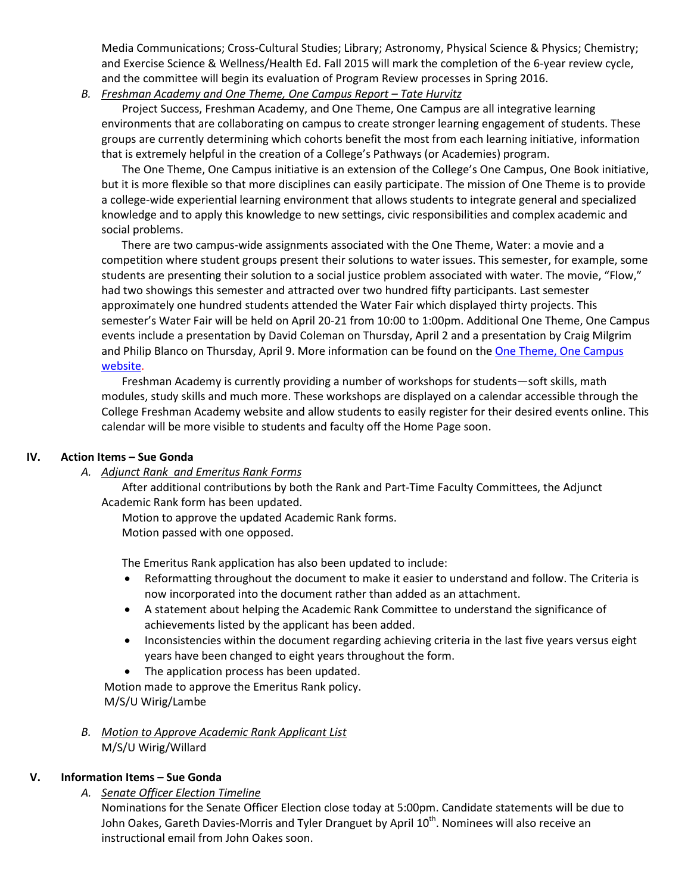Media Communications; Cross-Cultural Studies; Library; Astronomy, Physical Science & Physics; Chemistry; and Exercise Science & Wellness/Health Ed. Fall 2015 will mark the completion of the 6-year review cycle, and the committee will begin its evaluation of Program Review processes in Spring 2016.

*B. Freshman Academy and One Theme, One Campus Report – Tate Hurvitz*

Project Success, Freshman Academy, and One Theme, One Campus are all integrative learning environments that are collaborating on campus to create stronger learning engagement of students. These groups are currently determining which cohorts benefit the most from each learning initiative, information that is extremely helpful in the creation of a College's Pathways (or Academies) program.

The One Theme, One Campus initiative is an extension of the College's One Campus, One Book initiative, but it is more flexible so that more disciplines can easily participate. The mission of One Theme is to provide a college-wide experiential learning environment that allows students to integrate general and specialized knowledge and to apply this knowledge to new settings, civic responsibilities and complex academic and social problems.

There are two campus-wide assignments associated with the One Theme, Water: a movie and a competition where student groups present their solutions to water issues. This semester, for example, some students are presenting their solution to a social justice problem associated with water. The movie, "Flow," had two showings this semester and attracted over two hundred fifty participants. Last semester approximately one hundred students attended the Water Fair which displayed thirty projects. This semester's Water Fair will be held on April 20-21 from 10:00 to 1:00pm. Additional One Theme, One Campus events include a presentation by David Coleman on Thursday, April 2 and a presentation by Craig Milgrim and Philip Blanco on Thursday, April 9. More information can be found on the One Theme, One Campus [website.](http://web2.grossmont.edu/water/events.html)

Freshman Academy is currently providing a number of workshops for students—soft skills, math modules, study skills and much more. These workshops are displayed on a calendar accessible through the College Freshman Academy website and allow students to easily register for their desired events online. This calendar will be more visible to students and faculty off the Home Page soon.

# **IV. Action Items – Sue Gonda**

*A. Adjunct Rank and Emeritus Rank Forms*

After additional contributions by both the Rank and Part-Time Faculty Committees, the Adjunct Academic Rank form has been updated.

Motion to approve the updated Academic Rank forms. Motion passed with one opposed.

The Emeritus Rank application has also been updated to include:

- Reformatting throughout the document to make it easier to understand and follow. The Criteria is now incorporated into the document rather than added as an attachment.
- A statement about helping the Academic Rank Committee to understand the significance of achievements listed by the applicant has been added.
- Inconsistencies within the document regarding achieving criteria in the last five years versus eight years have been changed to eight years throughout the form.
- The application process has been updated.

Motion made to approve the Emeritus Rank policy. M/S/U Wirig/Lambe

*B. Motion to Approve Academic Rank Applicant List* M/S/U Wirig/Willard

# **V. Information Items – Sue Gonda**

*A. Senate Officer Election Timeline*

Nominations for the Senate Officer Election close today at 5:00pm. Candidate statements will be due to John Oakes, Gareth Davies-Morris and Tyler Dranguet by April 10<sup>th</sup>. Nominees will also receive an instructional email from John Oakes soon.